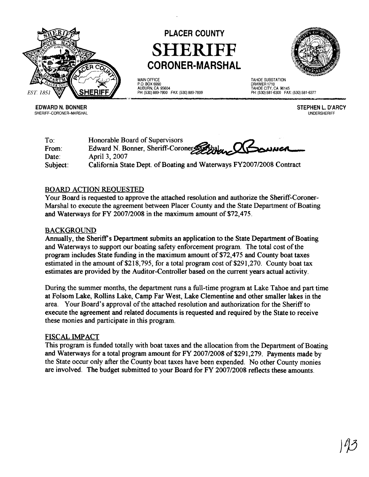

## **PLACER COUNTY SHERIFF CORONER-MARSHAL**

MAIN OFFICE P.O. BOX 6990 AUBURN, CA 95604 PH: (530) 889-7800 FAX: (530) 889-7899



TAHOE SUBSTATION DRAWER 1710 TAHOE CITY, CA 96145 PH: (530) 581 -6300 FAX: (530) 581-6377

**EDWARD N. BONNER**  SHERIFF-CORONER-MARSHAL **STEPHEN L. D'ARCY**  UNDERSHERIFF

To: Honorable Board of Supervisors From: Edward N. Bonner, Sheriff-Coroner Date: April 3, 2007 Subject: California State Dept. of Boating and Waterways FY2007/2008 Contract

## BOARD ACTION REQUESTED

Your Board is requested to approve the attached resolution and authorize the Sheriff-Coroner-Marshal to execute the agreement between Placer County and the State Department of Boating and Waterways for **FY** 200712008 in the maximum amount of \$72,475.

## BACKGROUND

Annually, the Sheriff's Department submits an application to the State Department of Boating and Waterways to support our boating safety enforcement program. The total cost of the program includes State hnding in the maximum amount of \$72,475 and County boat taxes estimated in the amount of \$218,795, for a total program cost of \$291,270. County boat tax estimates are provided by the Auditor-Controller based on the current years actual activity.

During the summer months, the department runs a full-time program at Lake Tahoe and part time at Folsom Lake, Rollins Lake, Camp Far West, Lake Clementine and other smaller lakes in the area. Your Board's approval of the attached resolution and authorization for the Sheriff to execute the agreement and related documents is requested and required by the State to receive these monies and participate in this program.

## FISCAL lMPACT

This program is funded totally with boat taxes and the allocation from the Department of Boating and Waterways for a total program amount for FY 200712008 of \$291,279. Payments made by the State occur only after the County boat taxes have been expended. No other County monies are involved. The budget submitted to your Board for FY 200712008 reflects these amounts.